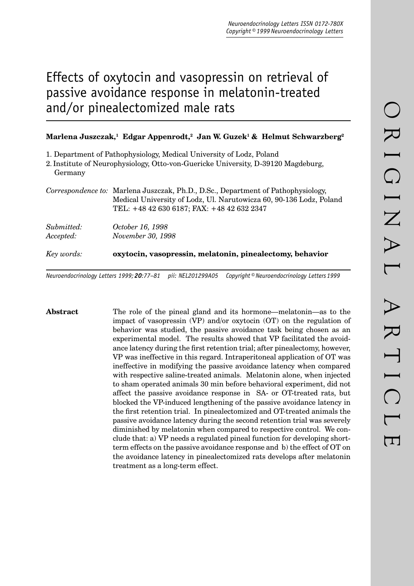# Effects of oxytocin and vasopressin on retrieval of passive avoidance response in melatonin-treated and/or pinealectomized male rats

## Marlena Juszczak,<sup>1</sup> Edgar Appenrodt,<sup>2</sup> Jan W. Guzek<sup>1</sup> & Helmut Schwarzberg<sup>2</sup>

1. Department of Pathophysiology, Medical University of Lodz, Poland

2.Institute of Neurophysiology, Otto-von-Guericke University, D-39120 Magdeburg, Germany

*Correspondence to:* Marlena Juszczak, Ph.D., D.Sc., Department of Pathophysiology, Medical University of Lodz, Ul. Narutowicza 60, 90-136 Lodz, Poland TEL: +48 42 630 6187; FAX: +48 42 632 2347

| Key words: | oxytocin, vasopressin, melatonin, pinealectomy, behavior |
|------------|----------------------------------------------------------|
| Submitted: | <i>October 16, 1998</i>                                  |
| Accepted:  | November 30, 1998                                        |

*Neuroendocrinology Letters 1999; 20:77–81 pii: NEL201299A05 Copyright © Neuroendocrinology Letters 1999*

**Abstract** The role of the pineal gland and its hormone—melatonin—as to the impact of vasopressin (VP) and/or oxytocin (OT) on the regulation of behavior was studied, the passive avoidance task being chosen as an experimental model. The results showed that VP facilitated the avoidance latency during the first retention trial; after pinealectomy, however, VP was ineffective in this regard. Intraperitoneal application of OT was ineffective in modifying the passive avoidance latency when compared with respective saline-treated animals. Melatonin alone, when injected to sham operated animals 30 min before behavioral experiment, did not affect the passive avoidance response in SA- or OT-treated rats, but blocked the VP-induced lengthening of the passive avoidance latency in the first retention trial. In pinealectomized and OT-treated animals the passive avoidance latency during the second retention trial was severely diminished by melatonin when compared to respective control. We conclude that: a) VP needs a regulated pineal function for developing shortterm effects on the passive avoidance response and b) the effect of OT on the avoidance latency in pinealectomized rats develops after melatonin treatment as a long-term effect.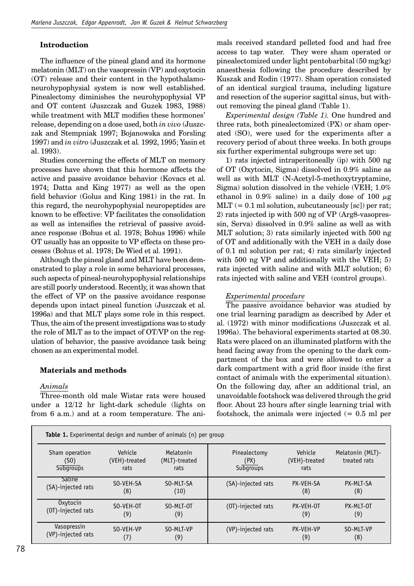## **Introduction**

The influence of the pineal gland and its hormone melatonin (MLT) on the vasopressin (VP) and oxytocin  $(OT)$  release and their content in the hypothalamoneurohypophysial system is now well established. Pinealectomy diminishes the neuro hypophysial VP and OT content (Juszczak and Guzek 1983, 1988) while treatment with MLT modifies these hormones' release, depending on a dose used, both *in vivo* (Juszczak and Stempniak 1997; Bojanowska and Forsling 1997) and *in vitro* (Juszczak et al. 1992, 1995; Yasin et al. 1993).

Studies concerning the effects of MLT on memory processes have shown that this hormone affects the active and passive avoidance behavior (Kovacs et al. 1974; Datta and King 1977) as well as the open field behavior (Golus and King 1981) in the rat. In this regard, the neurohypophysial neuropeptides are known to be effective: VP facilitates the consolidation as well as intensifies the retrieval of passive avoidance response (Bohus et al. 1978; Bohus 1996) while OT usually has an opposite to VP effects on these processes (Bohus et al. 1978; De Wied et al. 1991).

Although the pineal gland and MLT have been demonstrated to play a role in some behavioral processes, such aspects of pineal-neurohypophysial relationships are still poorly understood. Recently, it was shown that the effect of VP on the passive avoidance response depends upon intact pineal function (Juszczak et al. 1996a) and that MLT plays some role in this respect. Thus, the aim of the present investigations was to study the role of MLT as to the impact of OT/VP on the regulation of behavior, the passive avoidance task being chosen as an experimental model.

## **Materials and methods**

### *Animals*

Three-month old male Wistar rats were housed under a 12/12 hr light-dark schedule (lights on from 6 a.m.) and at a room temperature. The animals received standard pelleted food and had free access to tap water. They were sham operated or pinealectomized under light pentobarbital (50 mg/kg) anaesthesia following the procedure described by Kuszak and Rodin (1977). Sham operation consisted of an identical surgical trauma, including ligature and resection of the superior sagittal sinus, but without removing the pineal gland (Table 1).

*Experimental design (Table 1).* One hundred and three rats, both pinealectomized (PX) or sham operated (SO), were used for the experiments after a recovery period of about three weeks. In both groups six further experimental subgroups were set up:

1) rats injected intraperitoneally (ip) with 500 ng of OT (Oxytocin, Sigma) dissolved in 0.9% saline as well as with MLT (N-Acetyl-5-methoxytryptamine, Sigma) solution dissolved in the vehicle (VEH; 1.0% ethanol in 0.9% saline) in a daily dose of 100  $\mu$ g  $MLT$  (= 0.1 ml solution, subcutaneously [sc]) per rat; 2) rats injected ip with 500 ng of VP (Arg8-vasopressin, Serva) dissolved in 0.9% saline as well as with MLT solution; 3) rats similarly injected with 500 ng of OT and additionally with the VEH in a daily dose of 0.1 ml solution per rat; 4) rats similarly injected with 500 ng VP and additionally with the VEH; 5) rats injected with saline and with MLT solution; 6) rats injected with saline and VEH (control groups).

## *Experimental procedure*

The passive avoidance behavior was studied by one trial learning paradigm as described by Ader et al. (1972) with minor modifications (Juszczak et al. 1996a). The behavioral experiments started at 08.30. Rats were placed on an illuminated platform with the head facing away from the opening to the dark compartment of the box and were allowed to enter a dark compartment with a grid floor inside (the first contact of animals with the experimental situation). On the following day, after an additional trial, an unavoidable footshock was delivered through the grid floor. About 23 hours after single learning trial with footshock, the animals were injected  $(= 0.5 \text{ ml})$  per

| <b>Table 1.</b> Experimental design and number of animals (n) per group |                                  |                                    |                                   |                                  |                                  |  |  |
|-------------------------------------------------------------------------|----------------------------------|------------------------------------|-----------------------------------|----------------------------------|----------------------------------|--|--|
| Sham operation<br>(SO)<br>Subgroups                                     | Vehicle<br>(VEH)-treated<br>rats | Melatonin<br>(MLT)-treated<br>rats | Pinealectomy<br>(PX)<br>Subgroups | Vehicle<br>(VEH)-treated<br>rats | Melatonin (MLT)-<br>treated rats |  |  |
| <b>Saline</b>                                                           | SO-VEH-SA                        | SO-MLT-SA                          | (SA)-injected rats                | PX-VEH-SA                        | PX-MLT-SA                        |  |  |
| (SA)-injected rats                                                      | (8)                              | (10)                               |                                   | (8)                              | (8)                              |  |  |
| Oxytocin                                                                | SO-VEH-OT                        | SO-MLT-OT                          | (OT)-injected rats                | PX-VEH-OT                        | PX-MLT-OT                        |  |  |
| (OT)-injected rats                                                      | (9)                              | (9)                                |                                   | (9)                              | (9)                              |  |  |
| Vasopressin                                                             | SO-VEH-VP                        | SO-MLT-VP                          | (VP)-injected rats                | PX-VEH-VP                        | SO-MLT-VP                        |  |  |
| (VP)-injected rats                                                      | (7)                              | (9)                                |                                   | (9)                              | (8)                              |  |  |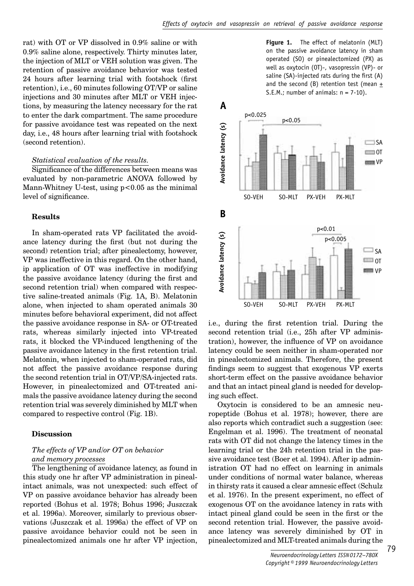rat) with OT or VP dissolved in 0.9% saline or with 0.9% saline alone, respectively. Thirty minutes later, the injection of MLT or VEH solution was given. The retention of passive avoidance behavior was tested 24 hours after learning trial with footshock (first retention), i.e., 60 minutes following OT/VP or saline injections and 30 minutes after MLT or VEH injections, by measuring the latency necessary for the rat to enter the dark compartment. The same procedure for passive avoidance test was repeated on the next day, i.e., 48 hours after learning trial with footshock (second retention).

#### *Statistical evaluation of the results.*

Significance of the differences between means was evaluated by non-parametric ANOVA followed by Mann-Whitney U-test, using  $p < 0.05$  as the minimal level of significance.

#### **Results**

In sham-operated rats VP facilitated the avoidance latency during the first (but not during the second) retention trial; after pinealectomy, however, VP was ineffective in this regard. On the other hand, ip application of OT was ineffective in modifying the passive avoidance latency (during the first and second retention trial) when compared with respective saline-treated animals (Fig. 1A, B). Melatonin alone, when injected to sham operated animals 30 minutes before behavioral experiment, did not affect the passive avoidance response in SA- or OT-treated rats, whereas similarly injected into VP-treated rats, it blocked the VP-induced lengthening of the passive avoidance latency in the first retention trial. Melatonin, when injected to sham-operated rats, did not affect the passive avoidance response during the second retention trial in OT/VP/SA-injected rats. However, in pinealectomized and OT-treated animals the passive avoidance latency during the second retention trial was severely diminished by MLT when compared to respective control (Fig. 1B).

#### **Discussion**

## *The effects of VP and/or OT on behavior and memory processes*

The lengthening of avoidance latency, as found in this study one hr after VP administration in pinealintact animals, was not unexpected: such effect of VP on passive avoidance behavior has already been reported (Bohus et al. 1978; Bohus 1996; Juszczak et al. 1996a). Moreover, similarly to previous observations (Juszczak et al. 1996a) the effect of VP on passive avoidance behavior could not be seen in pinealectomized animals one hr after VP injection,

**Figure 1.** The effect of melatonin (MLT) on the passive avoidance latency in sham operated (SO) or pinealectomized (PX) as well as oxytocin (OT)-, vasopressin (VP)- or saline  $(SA)$ -injected rats during the first  $(A)$ and the second (B) retention test (mean + S.E.M.; number of animals:  $n = 7-10$ ).



i.e., during the first retention trial. During the second retention trial (i.e., 25h after VP administration), however, the influence of VP on avoidance latency could be seen neither in sham-operated nor in pinealectomized animals. Therefore, the present findings seem to suggest that exogenous VP exerts short-term effect on the passive avoidance behavior and that an intact pineal gland is needed for developing such effect.

Oxytocin is considered to be an amnesic neuropeptide (Bohus et al. 1978); however, there are also reports which contradict such a suggestion (see: Engelman et al. 1996). The treatment of neonatal rats with OT did not change the latency times in the learning trial or the 24h retention trial in the passive avoidance test (Boer et al. 1994). After ip administration OT had no effect on learning in animals under conditions of normal water balance, whereas in thirsty rats it caused a clear amnesic effect (Schulz et al. 1976). In the present experiment, no effect of exogenous OT on the avoidance latency in rats with intact pineal gland could be seen in the first or the second retention trial. However, the passive avoidance latency was severely diminished by OT in pinealectomized and MLT-treated animals during the

79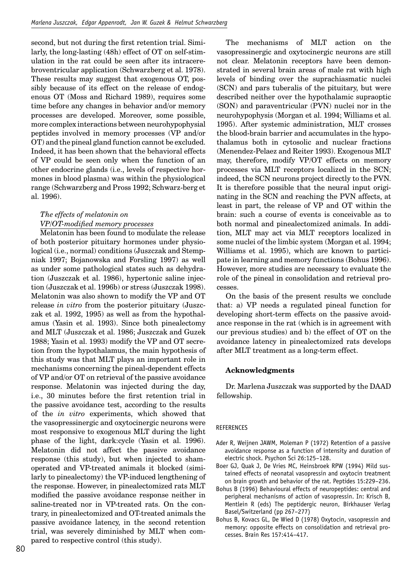second, but not during the first retention trial. Similarly, the long-lasting (48h) effect of OT on self-stimulation in the rat could be seen after its intracerebroventricular application (Schwarzberg et al. 1978). These results may suggest that exogenous OT, possibly because of its effect on the release of endogenous OT (Moss and Richard 1989), requires some time before any changes in behavior and/or memory processes are developed. Moreover, some possible, more complex interactions between neurohypophysial peptides involved in memory processes (VP and/or OT) and the pineal gland function cannot be excluded. Indeed, it has been shown that the behavioral effects of VP could be seen only when the function of an other endocrine glands (i.e., levels of respective hormones in blood plasma) was within the physiological range (Schwarzberg and Pross 1992; Schwarz-berg et al. 1996).

# *The effects of melatonin on VP/OT-modifi ed memory processes*

Melatonin has been found to modulate the release of both posterior pituitary hormones under physiological (i.e., normal) conditions (Juszczak and Stempniak 1997; Bojanowska and Forsling 1997) as well as under some pathological states such as dehydration (Juszczak et al. 1986), hypertonic saline injection (Juszczak et al. 1996b) or stress (Juszczak 1998). Melatonin was also shown to modify the VP and OT release *in vitro* from the posterior pituitary (Juszczak et al. 1992, 1995) as well as from the hypothalamus (Yasin et al. 1993). Since both pinealectomy and MLT (Juszczak et al. 1986; Juszczak and Guzek 1988; Yasin et al. 1993) modify the VP and OT secretion from the hypothalamus, the main hypothesis of this study was that MLT plays an important role in mechanisms concerning the pineal-dependent effects of VP and/or OT on retrieval of the passive avoidance response. Melatonin was injected during the day, i.e., 30 minutes before the first retention trial in the passive avoidance test, according to the results of the *in vitro* experiments, which showed that the vasopressinergic and oxytocinergic neurons were most responsive to exogenous MLT during the light phase of the light, dark:cycle (Yasin et al. 1996). Melatonin did not affect the passive avoidance response (this study), but when injected to shamoperated and VP-treated animals it blocked (similarly to pinealectomy) the VP-induced lengthening of the response. However, in pinealectomized rats MLT modified the passive avoidance response neither in saline-treated nor in VP-treated rats. On the contrary, in pinealectomized and OT-treated animals the passive avoidance latency, in the second retention trial, was severely diminished by MLT when compared to respective control (this study).

vasopressinergic and oxytocinergic neurons are still not clear. Melatonin receptors have been demonstrated in several brain areas of male rat with high levels of binding over the suprachiasmatic nuclei (SCN) and pars tuberalis of the pituitary, but were described neither over the hypothalamic supraoptic (SON) and paraventricular (PVN) nuclei nor in the neurohypophysis (Morgan et al. 1994; Williams et al. 1995). After systemic administration, MLT crosses the blood-brain barrier and accumulates in the hypothalamus both in cytosolic and nuclear fractions (Menendez-Pelaez and Reiter 1993). Exogenous MLT may, therefore, modify VP/OT effects on memory processes via MLT receptors localized in the SCN; indeed, the SCN neurons project directly to the PVN. It is therefore possible that the neural input originating in the SCN and reaching the PVN affects, at least in part, the release of VP and OT within the brain: such a course of events is conceivable as to both normal and pinealectomized animals. In addition, MLT may act via MLT receptors localized in some nuclei of the limbic system (Morgan et al. 1994; Williams et al. 1995), which are known to participate in learning and memory functions (Bohus 1996). However, more studies are necessary to evaluate the role of the pineal in consolidation and retrieval processes.

The mechanisms of MLT action on the

On the basis of the present results we conclude that: a) VP needs a regulated pineal function for developing short-term effects on the passive avoidance response in the rat (which is in agreement with our previous studies) and b) the effect of OT on the avoidance latency in pinealectomized rats develops after MLT treatment as a long-term effect.

#### **Acknowledgments**

Dr. Marlena Juszczak was supported by the DAAD fellowship.

#### REFERENCES

- Ader R, Weijnen JAWM, Moleman P (1972) Retention of a passive avoidance response as a function of intensity and duration of electric shock. Psychon Sci 26:125–128.
- Boer GJ, Quak J, De Vries MC, Heinsbroek RPW (1994) Mild sustained effects of neonatal vasopressin and oxytocin treatment on brain growth and behavior of the rat. Peptides 15:229–236.
- Bohus B (1996) Behavioural effects of neuropeptides: central and peripheral mechanisms of action of vasopressin. In: Krisch B, Mentlein R (eds) The peptidergic neuron, Birkhauser Verlag Basel/Switzerland (pp 267–277)
- Bohus B, Kovacs GL, De Wied D (1978) Oxytocin, vasopressin and memory: opposite effects on consolidation and retrieval processes. Brain Res 157:414–417.